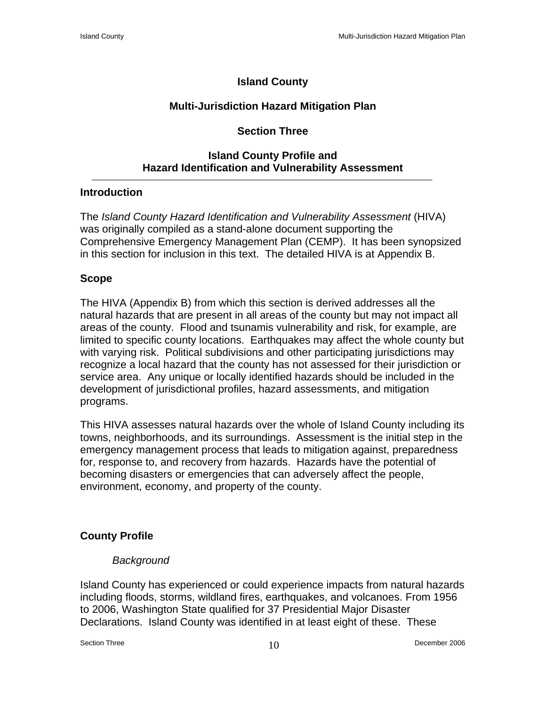# **Island County**

# **Multi-Jurisdiction Hazard Mitigation Plan**

# **Section Three**

## **Island County Profile and Hazard Identification and Vulnerability Assessment**

## **Introduction**

The *Island County Hazard Identification and Vulnerability Assessment* (HIVA) was originally compiled as a stand-alone document supporting the Comprehensive Emergency Management Plan (CEMP). It has been synopsized in this section for inclusion in this text. The detailed HIVA is at Appendix B.

# **Scope**

The HIVA (Appendix B) from which this section is derived addresses all the natural hazards that are present in all areas of the county but may not impact all areas of the county. Flood and tsunamis vulnerability and risk, for example, are limited to specific county locations. Earthquakes may affect the whole county but with varying risk. Political subdivisions and other participating jurisdictions may recognize a local hazard that the county has not assessed for their jurisdiction or service area. Any unique or locally identified hazards should be included in the development of jurisdictional profiles, hazard assessments, and mitigation programs.

This HIVA assesses natural hazards over the whole of Island County including its towns, neighborhoods, and its surroundings. Assessment is the initial step in the emergency management process that leads to mitigation against, preparedness for, response to, and recovery from hazards. Hazards have the potential of becoming disasters or emergencies that can adversely affect the people, environment, economy, and property of the county.

# **County Profile**

# *Background*

Island County has experienced or could experience impacts from natural hazards including floods, storms, wildland fires, earthquakes, and volcanoes. From 1956 to 2006, Washington State qualified for 37 Presidential Major Disaster Declarations. Island County was identified in at least eight of these. These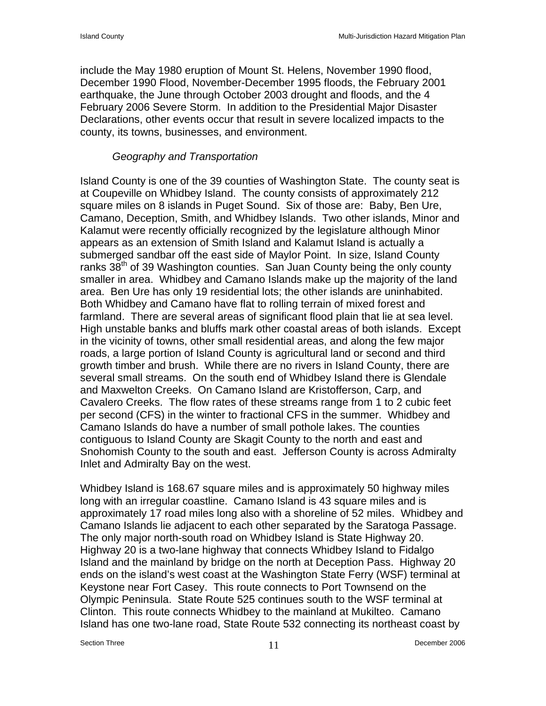include the May 1980 eruption of Mount St. Helens, November 1990 flood, December 1990 Flood, November-December 1995 floods, the February 2001 earthquake, the June through October 2003 drought and floods, and the 4 February 2006 Severe Storm. In addition to the Presidential Major Disaster Declarations, other events occur that result in severe localized impacts to the county, its towns, businesses, and environment.

## *Geography and Transportation*

Island County is one of the 39 counties of Washington State. The county seat is at Coupeville on Whidbey Island. The county consists of approximately 212 square miles on 8 islands in Puget Sound. Six of those are: Baby, Ben Ure, Camano, Deception, Smith, and Whidbey Islands. Two other islands, Minor and Kalamut were recently officially recognized by the legislature although Minor appears as an extension of Smith Island and Kalamut Island is actually a submerged sandbar off the east side of Maylor Point. In size, Island County ranks  $38<sup>th</sup>$  of 39 Washington counties. San Juan County being the only county smaller in area. Whidbey and Camano Islands make up the majority of the land area. Ben Ure has only 19 residential lots; the other islands are uninhabited. Both Whidbey and Camano have flat to rolling terrain of mixed forest and farmland. There are several areas of significant flood plain that lie at sea level. High unstable banks and bluffs mark other coastal areas of both islands. Except in the vicinity of towns, other small residential areas, and along the few major roads, a large portion of Island County is agricultural land or second and third growth timber and brush. While there are no rivers in Island County, there are several small streams. On the south end of Whidbey Island there is Glendale and Maxwelton Creeks. On Camano Island are Kristofferson, Carp, and Cavalero Creeks. The flow rates of these streams range from 1 to 2 cubic feet per second (CFS) in the winter to fractional CFS in the summer. Whidbey and Camano Islands do have a number of small pothole lakes. The counties contiguous to Island County are Skagit County to the north and east and Snohomish County to the south and east. Jefferson County is across Admiralty Inlet and Admiralty Bay on the west.

Whidbey Island is 168.67 square miles and is approximately 50 highway miles long with an irregular coastline. Camano Island is 43 square miles and is approximately 17 road miles long also with a shoreline of 52 miles. Whidbey and Camano Islands lie adjacent to each other separated by the Saratoga Passage. The only major north-south road on Whidbey Island is State Highway 20. Highway 20 is a two-lane highway that connects Whidbey Island to Fidalgo Island and the mainland by bridge on the north at Deception Pass. Highway 20 ends on the island's west coast at the Washington State Ferry (WSF) terminal at Keystone near Fort Casey. This route connects to Port Townsend on the Olympic Peninsula. State Route 525 continues south to the WSF terminal at Clinton. This route connects Whidbey to the mainland at Mukilteo. Camano Island has one two-lane road, State Route 532 connecting its northeast coast by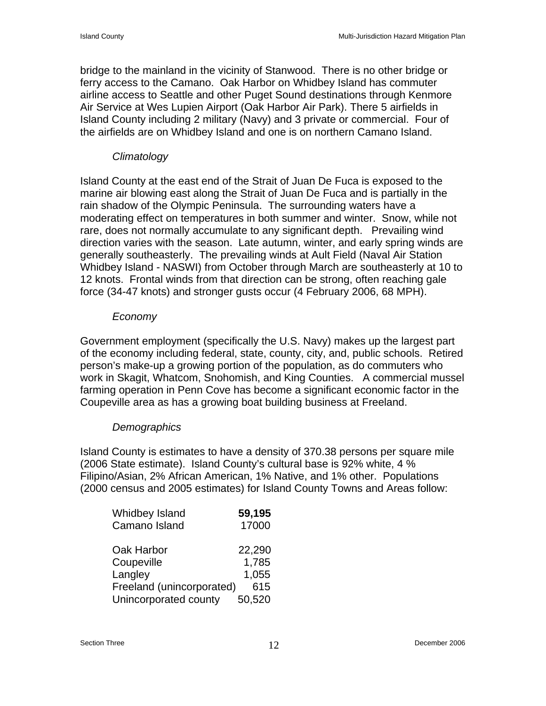bridge to the mainland in the vicinity of Stanwood. There is no other bridge or ferry access to the Camano. Oak Harbor on Whidbey Island has commuter airline access to Seattle and other Puget Sound destinations through Kenmore Air Service at Wes Lupien Airport (Oak Harbor Air Park). There 5 airfields in Island County including 2 military (Navy) and 3 private or commercial. Four of the airfields are on Whidbey Island and one is on northern Camano Island.

#### *Climatology*

Island County at the east end of the Strait of Juan De Fuca is exposed to the marine air blowing east along the Strait of Juan De Fuca and is partially in the rain shadow of the Olympic Peninsula. The surrounding waters have a moderating effect on temperatures in both summer and winter. Snow, while not rare, does not normally accumulate to any significant depth. Prevailing wind direction varies with the season. Late autumn, winter, and early spring winds are generally southeasterly. The prevailing winds at Ault Field (Naval Air Station Whidbey Island - NASWI) from October through March are southeasterly at 10 to 12 knots. Frontal winds from that direction can be strong, often reaching gale force (34-47 knots) and stronger gusts occur (4 February 2006, 68 MPH).

#### *Economy*

Government employment (specifically the U.S. Navy) makes up the largest part of the economy including federal, state, county, city, and, public schools. Retired person's make-up a growing portion of the population, as do commuters who work in Skagit, Whatcom, Snohomish, and King Counties. A commercial mussel farming operation in Penn Cove has become a significant economic factor in the Coupeville area as has a growing boat building business at Freeland.

#### *Demographics*

Island County is estimates to have a density of 370.38 persons per square mile (2006 State estimate). Island County's cultural base is 92% white, 4 % Filipino/Asian, 2% African American, 1% Native, and 1% other. Populations (2000 census and 2005 estimates) for Island County Towns and Areas follow:

| Whidbey Island            | 59,195 |
|---------------------------|--------|
| Camano Island             | 17000  |
| Oak Harbor                | 22,290 |
| Coupeville                | 1,785  |
| Langley                   | 1,055  |
| Freeland (unincorporated) | 615    |
| Unincorporated county     | 50,520 |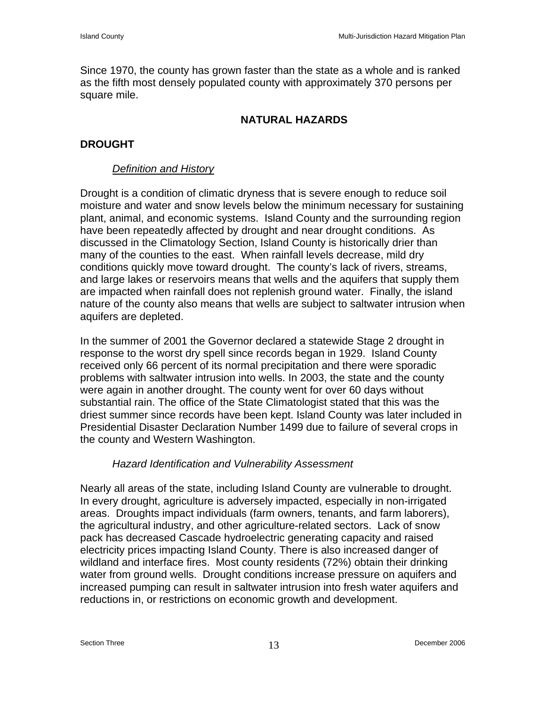Since 1970, the county has grown faster than the state as a whole and is ranked as the fifth most densely populated county with approximately 370 persons per square mile.

## **NATURAL HAZARDS**

# **DROUGHT**

## *Definition and History*

Drought is a condition of climatic dryness that is severe enough to reduce soil moisture and water and snow levels below the minimum necessary for sustaining plant, animal, and economic systems. Island County and the surrounding region have been repeatedly affected by drought and near drought conditions. As discussed in the Climatology Section, Island County is historically drier than many of the counties to the east. When rainfall levels decrease, mild dry conditions quickly move toward drought. The county's lack of rivers, streams, and large lakes or reservoirs means that wells and the aquifers that supply them are impacted when rainfall does not replenish ground water. Finally, the island nature of the county also means that wells are subject to saltwater intrusion when aquifers are depleted.

In the summer of 2001 the Governor declared a statewide Stage 2 drought in response to the worst dry spell since records began in 1929. Island County received only 66 percent of its normal precipitation and there were sporadic problems with saltwater intrusion into wells. In 2003, the state and the county were again in another drought. The county went for over 60 days without substantial rain. The office of the State Climatologist stated that this was the driest summer since records have been kept. Island County was later included in Presidential Disaster Declaration Number 1499 due to failure of several crops in the county and Western Washington.

### *Hazard Identification and Vulnerability Assessment*

Nearly all areas of the state, including Island County are vulnerable to drought. In every drought, agriculture is adversely impacted, especially in non-irrigated areas. Droughts impact individuals (farm owners, tenants, and farm laborers), the agricultural industry, and other agriculture-related sectors. Lack of snow pack has decreased Cascade hydroelectric generating capacity and raised electricity prices impacting Island County. There is also increased danger of wildland and interface fires. Most county residents (72%) obtain their drinking water from ground wells. Drought conditions increase pressure on aquifers and increased pumping can result in saltwater intrusion into fresh water aquifers and reductions in, or restrictions on economic growth and development.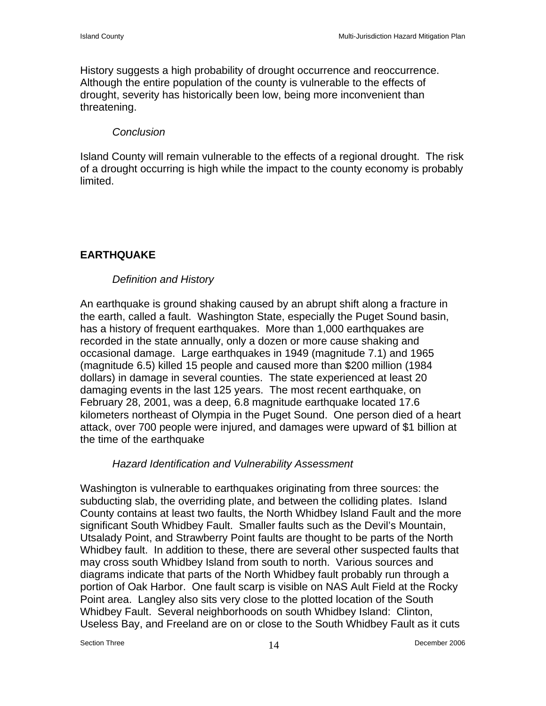History suggests a high probability of drought occurrence and reoccurrence. Although the entire population of the county is vulnerable to the effects of drought, severity has historically been low, being more inconvenient than threatening.

#### *Conclusion*

Island County will remain vulnerable to the effects of a regional drought. The risk of a drought occurring is high while the impact to the county economy is probably limited.

# **EARTHQUAKE**

### *Definition and History*

An earthquake is ground shaking caused by an abrupt shift along a fracture in the earth, called a fault. Washington State, especially the Puget Sound basin, has a history of frequent earthquakes. More than 1,000 earthquakes are recorded in the state annually, only a dozen or more cause shaking and occasional damage. Large earthquakes in 1949 (magnitude 7.1) and 1965 (magnitude 6.5) killed 15 people and caused more than \$200 million (1984 dollars) in damage in several counties. The state experienced at least 20 damaging events in the last 125 years. The most recent earthquake, on February 28, 2001, was a deep, 6.8 magnitude earthquake located 17.6 kilometers northeast of Olympia in the Puget Sound. One person died of a heart attack, over 700 people were injured, and damages were upward of \$1 billion at the time of the earthquake

#### *Hazard Identification and Vulnerability Assessment*

Washington is vulnerable to earthquakes originating from three sources: the subducting slab, the overriding plate, and between the colliding plates. Island County contains at least two faults, the North Whidbey Island Fault and the more significant South Whidbey Fault. Smaller faults such as the Devil's Mountain, Utsalady Point, and Strawberry Point faults are thought to be parts of the North Whidbey fault. In addition to these, there are several other suspected faults that may cross south Whidbey Island from south to north. Various sources and diagrams indicate that parts of the North Whidbey fault probably run through a portion of Oak Harbor. One fault scarp is visible on NAS Ault Field at the Rocky Point area. Langley also sits very close to the plotted location of the South Whidbey Fault. Several neighborhoods on south Whidbey Island: Clinton, Useless Bay, and Freeland are on or close to the South Whidbey Fault as it cuts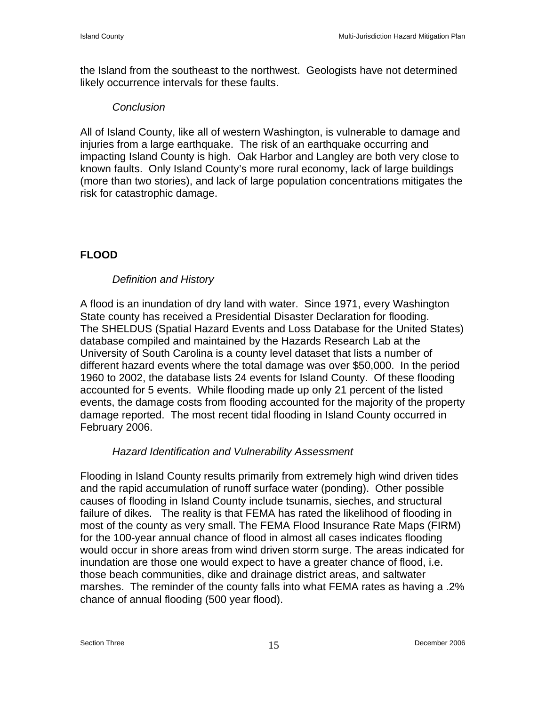the Island from the southeast to the northwest. Geologists have not determined likely occurrence intervals for these faults.

#### *Conclusion*

All of Island County, like all of western Washington, is vulnerable to damage and injuries from a large earthquake. The risk of an earthquake occurring and impacting Island County is high. Oak Harbor and Langley are both very close to known faults. Only Island County's more rural economy, lack of large buildings (more than two stories), and lack of large population concentrations mitigates the risk for catastrophic damage.

# **FLOOD**

## *Definition and History*

A flood is an inundation of dry land with water. Since 1971, every Washington State county has received a Presidential Disaster Declaration for flooding. The SHELDUS (Spatial Hazard Events and Loss Database for the United States) database compiled and maintained by the Hazards Research Lab at the University of South Carolina is a county level dataset that lists a number of different hazard events where the total damage was over \$50,000. In the period 1960 to 2002, the database lists 24 events for Island County. Of these flooding accounted for 5 events. While flooding made up only 21 percent of the listed events, the damage costs from flooding accounted for the majority of the property damage reported. The most recent tidal flooding in Island County occurred in February 2006.

### *Hazard Identification and Vulnerability Assessment*

Flooding in Island County results primarily from extremely high wind driven tides and the rapid accumulation of runoff surface water (ponding). Other possible causes of flooding in Island County include tsunamis, sieches, and structural failure of dikes. The reality is that FEMA has rated the likelihood of flooding in most of the county as very small. The FEMA Flood Insurance Rate Maps (FIRM) for the 100-year annual chance of flood in almost all cases indicates flooding would occur in shore areas from wind driven storm surge. The areas indicated for inundation are those one would expect to have a greater chance of flood, i.e. those beach communities, dike and drainage district areas, and saltwater marshes. The reminder of the county falls into what FEMA rates as having a .2% chance of annual flooding (500 year flood).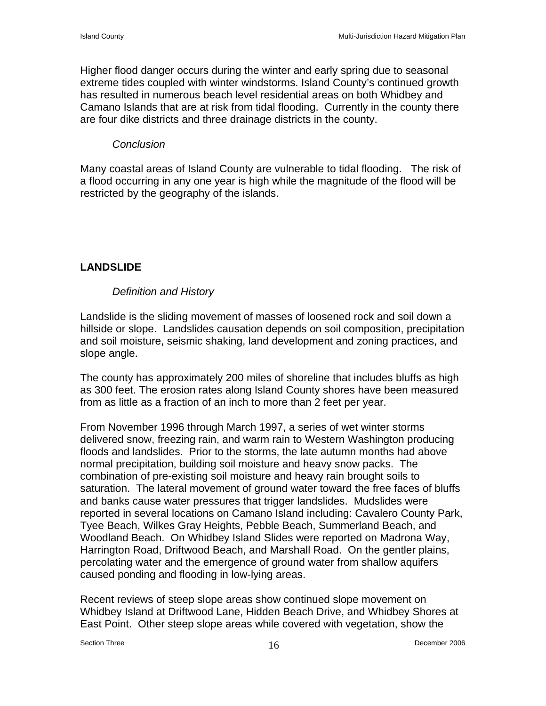Higher flood danger occurs during the winter and early spring due to seasonal extreme tides coupled with winter windstorms. Island County's continued growth has resulted in numerous beach level residential areas on both Whidbey and Camano Islands that are at risk from tidal flooding. Currently in the county there are four dike districts and three drainage districts in the county.

#### *Conclusion*

Many coastal areas of Island County are vulnerable to tidal flooding. The risk of a flood occurring in any one year is high while the magnitude of the flood will be restricted by the geography of the islands.

## **LANDSLIDE**

#### *Definition and History*

Landslide is the sliding movement of masses of loosened rock and soil down a hillside or slope. Landslides causation depends on soil composition, precipitation and soil moisture, seismic shaking, land development and zoning practices, and slope angle.

The county has approximately 200 miles of shoreline that includes bluffs as high as 300 feet. The erosion rates along Island County shores have been measured from as little as a fraction of an inch to more than 2 feet per year.

From November 1996 through March 1997, a series of wet winter storms delivered snow, freezing rain, and warm rain to Western Washington producing floods and landslides. Prior to the storms, the late autumn months had above normal precipitation, building soil moisture and heavy snow packs. The combination of pre-existing soil moisture and heavy rain brought soils to saturation. The lateral movement of ground water toward the free faces of bluffs and banks cause water pressures that trigger landslides. Mudslides were reported in several locations on Camano Island including: Cavalero County Park, Tyee Beach, Wilkes Gray Heights, Pebble Beach, Summerland Beach, and Woodland Beach. On Whidbey Island Slides were reported on Madrona Way, Harrington Road, Driftwood Beach, and Marshall Road. On the gentler plains, percolating water and the emergence of ground water from shallow aquifers caused ponding and flooding in low-lying areas.

Recent reviews of steep slope areas show continued slope movement on Whidbey Island at Driftwood Lane, Hidden Beach Drive, and Whidbey Shores at East Point. Other steep slope areas while covered with vegetation, show the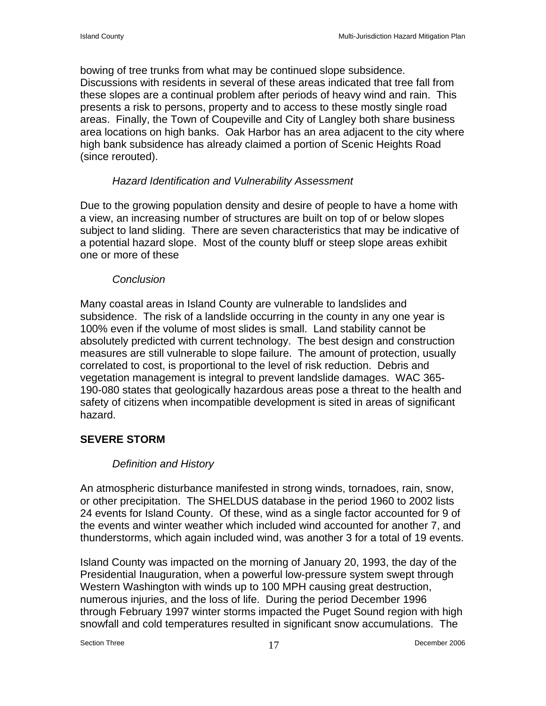bowing of tree trunks from what may be continued slope subsidence. Discussions with residents in several of these areas indicated that tree fall from these slopes are a continual problem after periods of heavy wind and rain. This presents a risk to persons, property and to access to these mostly single road areas. Finally, the Town of Coupeville and City of Langley both share business area locations on high banks. Oak Harbor has an area adjacent to the city where high bank subsidence has already claimed a portion of Scenic Heights Road (since rerouted).

## *Hazard Identification and Vulnerability Assessment*

Due to the growing population density and desire of people to have a home with a view, an increasing number of structures are built on top of or below slopes subject to land sliding. There are seven characteristics that may be indicative of a potential hazard slope. Most of the county bluff or steep slope areas exhibit one or more of these

### *Conclusion*

Many coastal areas in Island County are vulnerable to landslides and subsidence. The risk of a landslide occurring in the county in any one year is 100% even if the volume of most slides is small. Land stability cannot be absolutely predicted with current technology. The best design and construction measures are still vulnerable to slope failure. The amount of protection, usually correlated to cost, is proportional to the level of risk reduction. Debris and vegetation management is integral to prevent landslide damages. WAC 365- 190-080 states that geologically hazardous areas pose a threat to the health and safety of citizens when incompatible development is sited in areas of significant hazard.

# **SEVERE STORM**

# *Definition and History*

An atmospheric disturbance manifested in strong winds, tornadoes, rain, snow, or other precipitation. The SHELDUS database in the period 1960 to 2002 lists 24 events for Island County. Of these, wind as a single factor accounted for 9 of the events and winter weather which included wind accounted for another 7, and thunderstorms, which again included wind, was another 3 for a total of 19 events.

Island County was impacted on the morning of January 20, 1993, the day of the Presidential Inauguration, when a powerful low-pressure system swept through Western Washington with winds up to 100 MPH causing great destruction, numerous injuries, and the loss of life. During the period December 1996 through February 1997 winter storms impacted the Puget Sound region with high snowfall and cold temperatures resulted in significant snow accumulations. The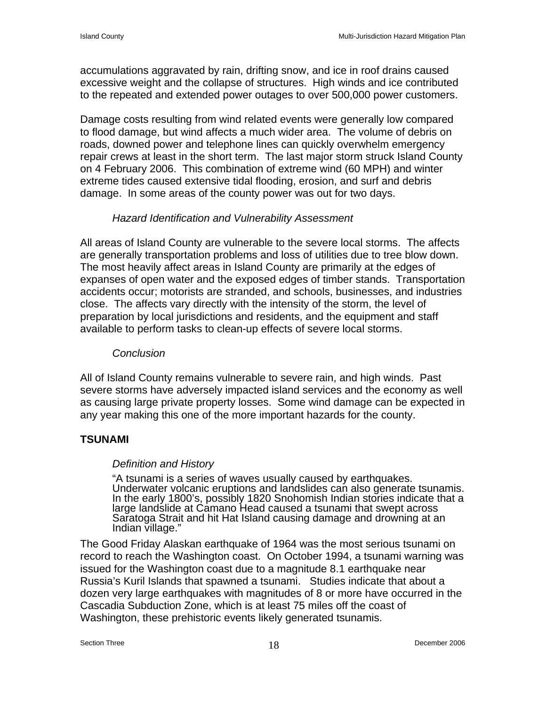accumulations aggravated by rain, drifting snow, and ice in roof drains caused excessive weight and the collapse of structures. High winds and ice contributed to the repeated and extended power outages to over 500,000 power customers.

Damage costs resulting from wind related events were generally low compared to flood damage, but wind affects a much wider area. The volume of debris on roads, downed power and telephone lines can quickly overwhelm emergency repair crews at least in the short term. The last major storm struck Island County on 4 February 2006. This combination of extreme wind (60 MPH) and winter extreme tides caused extensive tidal flooding, erosion, and surf and debris damage. In some areas of the county power was out for two days.

### *Hazard Identification and Vulnerability Assessment*

All areas of Island County are vulnerable to the severe local storms. The affects are generally transportation problems and loss of utilities due to tree blow down. The most heavily affect areas in Island County are primarily at the edges of expanses of open water and the exposed edges of timber stands. Transportation accidents occur; motorists are stranded, and schools, businesses, and industries close. The affects vary directly with the intensity of the storm, the level of preparation by local jurisdictions and residents, and the equipment and staff available to perform tasks to clean-up effects of severe local storms.

#### *Conclusion*

All of Island County remains vulnerable to severe rain, and high winds. Past severe storms have adversely impacted island services and the economy as well as causing large private property losses. Some wind damage can be expected in any year making this one of the more important hazards for the county.

### **TSUNAMI**

### *Definition and History*

"A tsunami is a series of waves usually caused by earthquakes. Underwater volcanic eruptions and landslides can also generate tsunamis. In the early 1800's, possibly 1820 Snohomish Indian stories indicate that a large landslide at Camano Head caused a tsunami that swept across<br>Saratoga Strait and hit Hat Island causing damage and drowning at an Indian village."

The Good Friday Alaskan earthquake of 1964 was the most serious tsunami on record to reach the Washington coast. On October 1994, a tsunami warning was issued for the Washington coast due to a magnitude 8.1 earthquake near Russia's Kuril Islands that spawned a tsunami. Studies indicate that about a dozen very large earthquakes with magnitudes of 8 or more have occurred in the Cascadia Subduction Zone, which is at least 75 miles off the coast of Washington, these prehistoric events likely generated tsunamis.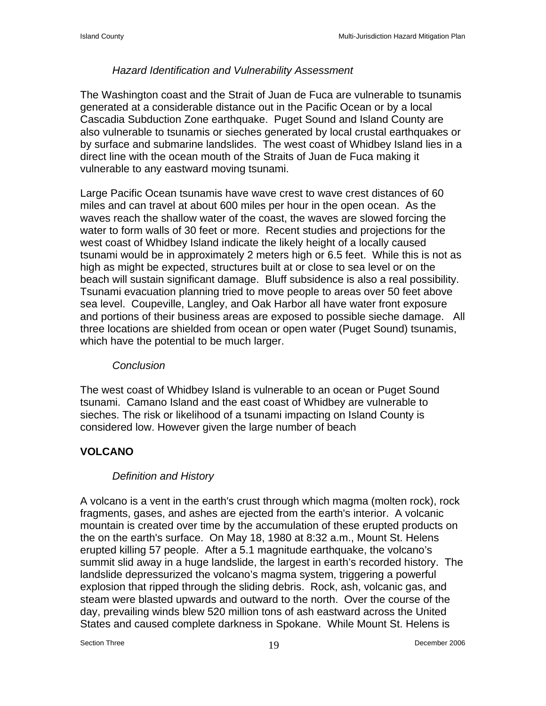# *Hazard Identification and Vulnerability Assessment*

The Washington coast and the Strait of Juan de Fuca are vulnerable to tsunamis generated at a considerable distance out in the Pacific Ocean or by a local Cascadia Subduction Zone earthquake. Puget Sound and Island County are also vulnerable to tsunamis or sieches generated by local crustal earthquakes or by surface and submarine landslides. The west coast of Whidbey Island lies in a direct line with the ocean mouth of the Straits of Juan de Fuca making it vulnerable to any eastward moving tsunami.

Large Pacific Ocean tsunamis have wave crest to wave crest distances of 60 miles and can travel at about 600 miles per hour in the open ocean. As the waves reach the shallow water of the coast, the waves are slowed forcing the water to form walls of 30 feet or more. Recent studies and projections for the west coast of Whidbey Island indicate the likely height of a locally caused tsunami would be in approximately 2 meters high or 6.5 feet. While this is not as high as might be expected, structures built at or close to sea level or on the beach will sustain significant damage. Bluff subsidence is also a real possibility. Tsunami evacuation planning tried to move people to areas over 50 feet above sea level. Coupeville, Langley, and Oak Harbor all have water front exposure and portions of their business areas are exposed to possible sieche damage. All three locations are shielded from ocean or open water (Puget Sound) tsunamis, which have the potential to be much larger.

# *Conclusion*

The west coast of Whidbey Island is vulnerable to an ocean or Puget Sound tsunami. Camano Island and the east coast of Whidbey are vulnerable to sieches. The risk or likelihood of a tsunami impacting on Island County is considered low. However given the large number of beach

# **VOLCANO**

# *Definition and History*

A volcano is a vent in the earth's crust through which magma (molten rock), rock fragments, gases, and ashes are ejected from the earth's interior. A volcanic mountain is created over time by the accumulation of these erupted products on the on the earth's surface. On May 18, 1980 at 8:32 a.m., Mount St. Helens erupted killing 57 people. After a 5.1 magnitude earthquake, the volcano's summit slid away in a huge landslide, the largest in earth's recorded history. The landslide depressurized the volcano's magma system, triggering a powerful explosion that ripped through the sliding debris. Rock, ash, volcanic gas, and steam were blasted upwards and outward to the north. Over the course of the day, prevailing winds blew 520 million tons of ash eastward across the United States and caused complete darkness in Spokane. While Mount St. Helens is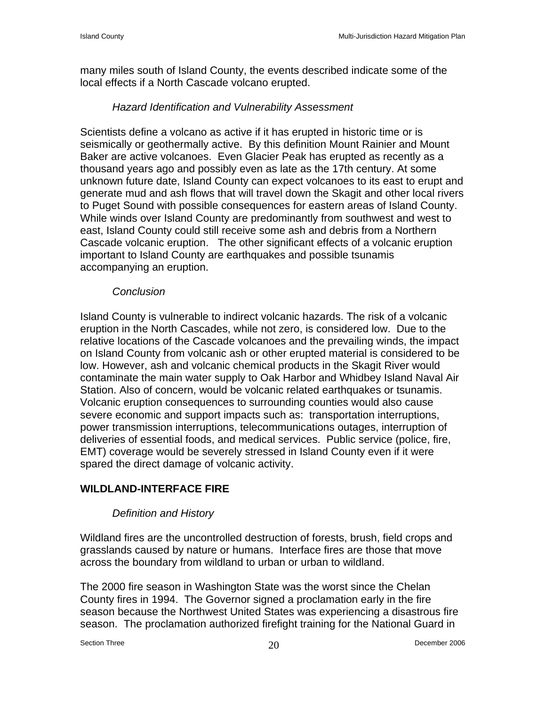many miles south of Island County, the events described indicate some of the local effects if a North Cascade volcano erupted.

## *Hazard Identification and Vulnerability Assessment*

Scientists define a volcano as active if it has erupted in historic time or is seismically or geothermally active. By this definition Mount Rainier and Mount Baker are active volcanoes. Even Glacier Peak has erupted as recently as a thousand years ago and possibly even as late as the 17th century. At some unknown future date, Island County can expect volcanoes to its east to erupt and generate mud and ash flows that will travel down the Skagit and other local rivers to Puget Sound with possible consequences for eastern areas of Island County. While winds over Island County are predominantly from southwest and west to east, Island County could still receive some ash and debris from a Northern Cascade volcanic eruption. The other significant effects of a volcanic eruption important to Island County are earthquakes and possible tsunamis accompanying an eruption.

### *Conclusion*

Island County is vulnerable to indirect volcanic hazards. The risk of a volcanic eruption in the North Cascades, while not zero, is considered low. Due to the relative locations of the Cascade volcanoes and the prevailing winds, the impact on Island County from volcanic ash or other erupted material is considered to be low. However, ash and volcanic chemical products in the Skagit River would contaminate the main water supply to Oak Harbor and Whidbey Island Naval Air Station. Also of concern, would be volcanic related earthquakes or tsunamis. Volcanic eruption consequences to surrounding counties would also cause severe economic and support impacts such as: transportation interruptions, power transmission interruptions, telecommunications outages, interruption of deliveries of essential foods, and medical services. Public service (police, fire, EMT) coverage would be severely stressed in Island County even if it were spared the direct damage of volcanic activity.

# **WILDLAND-INTERFACE FIRE**

### *Definition and History*

Wildland fires are the uncontrolled destruction of forests, brush, field crops and grasslands caused by nature or humans. Interface fires are those that move across the boundary from wildland to urban or urban to wildland.

The 2000 fire season in Washington State was the worst since the Chelan County fires in 1994. The Governor signed a proclamation early in the fire season because the Northwest United States was experiencing a disastrous fire season. The proclamation authorized firefight training for the National Guard in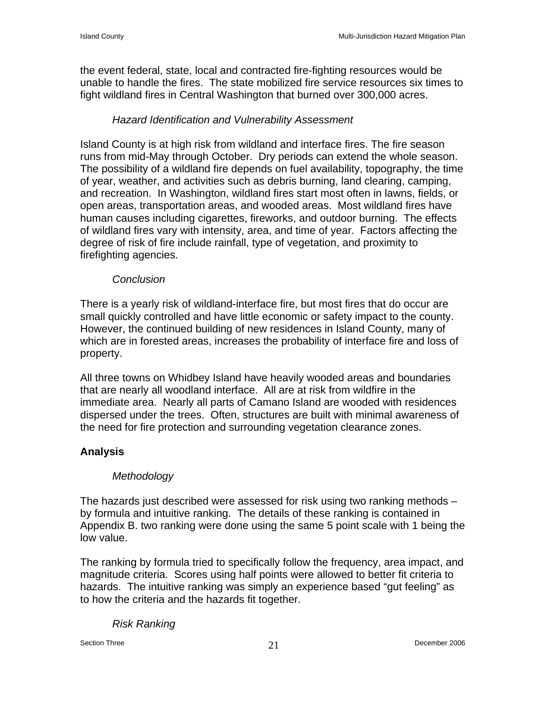the event federal, state, local and contracted fire-fighting resources would be unable to handle the fires. The state mobilized fire service resources six times to fight wildland fires in Central Washington that burned over 300,000 acres.

# *Hazard Identification and Vulnerability Assessment*

Island County is at high risk from wildland and interface fires. The fire season runs from mid-May through October. Dry periods can extend the whole season. The possibility of a wildland fire depends on fuel availability, topography, the time of year, weather, and activities such as debris burning, land clearing, camping, and recreation. In Washington, wildland fires start most often in lawns, fields, or open areas, transportation areas, and wooded areas. Most wildland fires have human causes including cigarettes, fireworks, and outdoor burning. The effects of wildland fires vary with intensity, area, and time of year. Factors affecting the degree of risk of fire include rainfall, type of vegetation, and proximity to firefighting agencies.

### *Conclusion*

There is a yearly risk of wildland-interface fire, but most fires that do occur are small quickly controlled and have little economic or safety impact to the county. However, the continued building of new residences in Island County, many of which are in forested areas, increases the probability of interface fire and loss of property.

All three towns on Whidbey Island have heavily wooded areas and boundaries that are nearly all woodland interface. All are at risk from wildfire in the immediate area. Nearly all parts of Camano Island are wooded with residences dispersed under the trees. Often, structures are built with minimal awareness of the need for fire protection and surrounding vegetation clearance zones.

# **Analysis**

### *Methodology*

The hazards just described were assessed for risk using two ranking methods – by formula and intuitive ranking. The details of these ranking is contained in Appendix B. two ranking were done using the same 5 point scale with 1 being the low value.

The ranking by formula tried to specifically follow the frequency, area impact, and magnitude criteria. Scores using half points were allowed to better fit criteria to hazards. The intuitive ranking was simply an experience based "gut feeling" as to how the criteria and the hazards fit together.

#### *Risk Ranking*